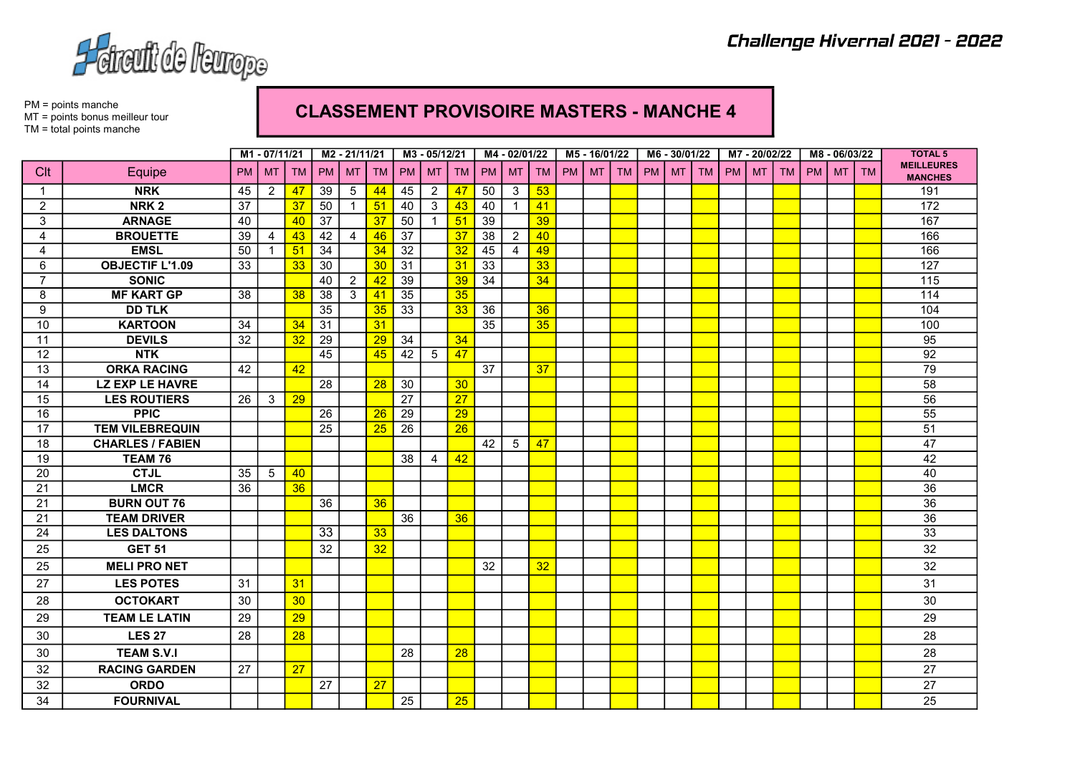

PM = points manche MT = points bonus meilleur tour TM = total points manche

## CLASSEMENT PROVISOIRE MASTERS - MANCHE 4

|                |                         |           | M1 - 07/11/21  |           | M2 - 21/11/21   |                |           | M3 - 05/12/21   |                |    | M4 - 02/01/22 |                |           | M5-16/01/22 |           |    | M6 - 30/01/22 |           |           | M7-20/02/22 |           |           |    | M8 - 06/03/22 |           | <b>TOTAL 5</b>                      |
|----------------|-------------------------|-----------|----------------|-----------|-----------------|----------------|-----------|-----------------|----------------|----|---------------|----------------|-----------|-------------|-----------|----|---------------|-----------|-----------|-------------|-----------|-----------|----|---------------|-----------|-------------------------------------|
| Clt            | Equipe                  | <b>PM</b> | <b>MT</b>      | <b>TM</b> | <b>PM</b>       | <b>MT</b>      | <b>TM</b> | PM I            | <b>MT</b>      | TM | <b>PM</b>     | <b>MT</b>      | <b>TM</b> | <b>PM</b>   | <b>MT</b> | TM | <b>PM</b>     | <b>MT</b> | <b>TM</b> | <b>PM</b>   | <b>MT</b> | <b>TM</b> | PM | <b>MT</b>     | <b>TM</b> | <b>MEILLEURES</b><br><b>MANCHES</b> |
| $\mathbf 1$    | <b>NRK</b>              | 45        | $\overline{2}$ | 47        | 39              | 5              | 44        | 45              | 2              | 47 | 50            | 3              | 53        |             |           |    |               |           |           |             |           |           |    |               |           | 191                                 |
| $\overline{2}$ | NRK <sub>2</sub>        | 37        |                | 37        | 50              | $\overline{1}$ | 51        | 40              | $\mathbf{3}$   | 43 | 40            | $\mathbf{1}$   | 41        |             |           |    |               |           |           |             |           |           |    |               |           | 172                                 |
| 3              | <b>ARNAGE</b>           | 40        |                | 40        | $\overline{37}$ |                | 37        | 50              |                | 51 | 39            |                | 39        |             |           |    |               |           |           |             |           |           |    |               |           | 167                                 |
| $\overline{4}$ | <b>BROUETTE</b>         | 39        | $\overline{4}$ | 43        | 42              | $\overline{4}$ | 46        | $\overline{37}$ |                | 37 | 38            | 2              | 40        |             |           |    |               |           |           |             |           |           |    |               |           | 166                                 |
| 4              | <b>EMSL</b>             | 50        | $\mathbf{1}$   | 51        | $\overline{34}$ |                | 34        | 32              |                | 32 | 45            | $\overline{4}$ | 49        |             |           |    |               |           |           |             |           |           |    |               |           | 166                                 |
| 6              | <b>OBJECTIF L'1.09</b>  | 33        |                | 33        | 30              |                | 30        | 31              |                | 31 | 33            |                | 33        |             |           |    |               |           |           |             |           |           |    |               |           | 127                                 |
| $\overline{7}$ | <b>SONIC</b>            |           |                |           | 40              | $\overline{2}$ | 42        | 39              |                | 39 | 34            |                | 34        |             |           |    |               |           |           |             |           |           |    |               |           | $\frac{115}{115}$                   |
| 8              | <b>MF KART GP</b>       | 38        |                | 38        | 38              | 3              | 41        | 35              |                | 35 |               |                |           |             |           |    |               |           |           |             |           |           |    |               |           | 114                                 |
| 9              | <b>DD TLK</b>           |           |                |           | 35              |                | 35        | 33              |                | 33 | 36            |                | 36        |             |           |    |               |           |           |             |           |           |    |               |           | 104                                 |
| 10             | <b>KARTOON</b>          | 34        |                | 34        | 31              |                | 31        |                 |                |    | 35            |                | 35        |             |           |    |               |           |           |             |           |           |    |               |           | 100                                 |
| 11             | <b>DEVILS</b>           | 32        |                | 32        | 29              |                | 29        | 34              |                | 34 |               |                |           |             |           |    |               |           |           |             |           |           |    |               |           | 95                                  |
| 12             | <b>NTK</b>              |           |                |           | 45              |                | 45        | 42              | 5              | 47 |               |                |           |             |           |    |               |           |           |             |           |           |    |               |           | 92                                  |
| 13             | <b>ORKA RACING</b>      | 42        |                | 42        |                 |                |           |                 |                |    | 37            |                | 37        |             |           |    |               |           |           |             |           |           |    |               |           | 79                                  |
| 14             | <b>LZ EXP LE HAVRE</b>  |           |                |           | 28              |                | 28        | 30              |                | 30 |               |                |           |             |           |    |               |           |           |             |           |           |    |               |           | 58                                  |
| 15             | <b>LES ROUTIERS</b>     | 26        | 3              | 29        |                 |                |           | $\overline{27}$ |                | 27 |               |                |           |             |           |    |               |           |           |             |           |           |    |               |           | 56                                  |
| 16             | <b>PPIC</b>             |           |                |           | 26              |                | 26        | 29              |                | 29 |               |                |           |             |           |    |               |           |           |             |           |           |    |               |           | 55                                  |
| 17             | <b>TEM VILEBREQUIN</b>  |           |                |           | 25              |                | 25        | 26              |                | 26 |               |                |           |             |           |    |               |           |           |             |           |           |    |               |           | 51                                  |
| 18             | <b>CHARLES / FABIEN</b> |           |                |           |                 |                |           |                 |                |    | 42            | 5              | 47        |             |           |    |               |           |           |             |           |           |    |               |           | 47                                  |
| 19             | TEAM 76                 |           |                |           |                 |                |           | 38              | $\overline{4}$ | 42 |               |                |           |             |           |    |               |           |           |             |           |           |    |               |           | 42                                  |
| 20             | <b>CTJL</b>             | 35        | 5              | 40        |                 |                |           |                 |                |    |               |                |           |             |           |    |               |           |           |             |           |           |    |               |           | 40                                  |
| 21             | <b>LMCR</b>             | 36        |                | 36        |                 |                |           |                 |                |    |               |                |           |             |           |    |               |           |           |             |           |           |    |               |           | $\overline{36}$                     |
| 21             | <b>BURN OUT 76</b>      |           |                |           | 36              |                | 36        |                 |                |    |               |                |           |             |           |    |               |           |           |             |           |           |    |               |           | $\overline{36}$                     |
| 21             | <b>TEAM DRIVER</b>      |           |                |           |                 |                |           | 36              |                | 36 |               |                |           |             |           |    |               |           |           |             |           |           |    |               |           | 36                                  |
| 24             | <b>LES DALTONS</b>      |           |                |           | $\overline{33}$ |                | 33        |                 |                |    |               |                |           |             |           |    |               |           |           |             |           |           |    |               |           | 33                                  |
| 25             | <b>GET 51</b>           |           |                |           | 32              |                | 32        |                 |                |    |               |                |           |             |           |    |               |           |           |             |           |           |    |               |           | 32                                  |
| 25             | <b>MELI PRO NET</b>     |           |                |           |                 |                |           |                 |                |    | 32            |                | 32        |             |           |    |               |           |           |             |           |           |    |               |           | 32                                  |
| 27             | <b>LES POTES</b>        | 31        |                | 31        |                 |                |           |                 |                |    |               |                |           |             |           |    |               |           |           |             |           |           |    |               |           | 31                                  |
| 28             | <b>OCTOKART</b>         | 30        |                | 30        |                 |                |           |                 |                |    |               |                |           |             |           |    |               |           |           |             |           |           |    |               |           | 30                                  |
| 29             | <b>TEAM LE LATIN</b>    | 29        |                | 29        |                 |                |           |                 |                |    |               |                |           |             |           |    |               |           |           |             |           |           |    |               |           | 29                                  |
| 30             | <b>LES 27</b>           | 28        |                | 28        |                 |                |           |                 |                |    |               |                |           |             |           |    |               |           |           |             |           |           |    |               |           | 28                                  |
| 30             | <b>TEAM S.V.I</b>       |           |                |           |                 |                |           | 28              |                | 28 |               |                |           |             |           |    |               |           |           |             |           |           |    |               |           | 28                                  |
| 32             | <b>RACING GARDEN</b>    | 27        |                | 27        |                 |                |           |                 |                |    |               |                |           |             |           |    |               |           |           |             |           |           |    |               |           | 27                                  |
| 32             | <b>ORDO</b>             |           |                |           | 27              |                | 27        |                 |                |    |               |                |           |             |           |    |               |           |           |             |           |           |    |               |           | 27                                  |
| 34             | <b>FOURNIVAL</b>        |           |                |           |                 |                |           | 25              |                | 25 |               |                |           |             |           |    |               |           |           |             |           |           |    |               |           | 25                                  |